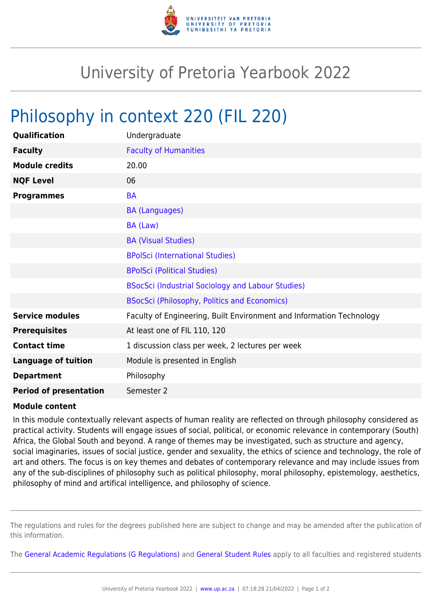

## University of Pretoria Yearbook 2022

## Philosophy in context 220 (FIL 220)

| Qualification                 | Undergraduate                                                        |
|-------------------------------|----------------------------------------------------------------------|
| <b>Faculty</b>                | <b>Faculty of Humanities</b>                                         |
| <b>Module credits</b>         | 20.00                                                                |
| <b>NQF Level</b>              | 06                                                                   |
| <b>Programmes</b>             | <b>BA</b>                                                            |
|                               | <b>BA (Languages)</b>                                                |
|                               | BA (Law)                                                             |
|                               | <b>BA (Visual Studies)</b>                                           |
|                               | <b>BPolSci (International Studies)</b>                               |
|                               | <b>BPolSci (Political Studies)</b>                                   |
|                               | BSocSci (Industrial Sociology and Labour Studies)                    |
|                               | <b>BSocSci (Philosophy, Politics and Economics)</b>                  |
| <b>Service modules</b>        | Faculty of Engineering, Built Environment and Information Technology |
| <b>Prerequisites</b>          | At least one of FIL 110, 120                                         |
| <b>Contact time</b>           | 1 discussion class per week, 2 lectures per week                     |
| <b>Language of tuition</b>    | Module is presented in English                                       |
| <b>Department</b>             | Philosophy                                                           |
| <b>Period of presentation</b> | Semester 2                                                           |

## **Module content**

In this module contextually relevant aspects of human reality are reflected on through philosophy considered as practical activity. Students will engage issues of social, political, or economic relevance in contemporary (South) Africa, the Global South and beyond. A range of themes may be investigated, such as structure and agency, social imaginaries, issues of social justice, gender and sexuality, the ethics of science and technology, the role of art and others. The focus is on key themes and debates of contemporary relevance and may include issues from any of the sub-disciplines of philosophy such as political philosophy, moral philosophy, epistemology, aesthetics, philosophy of mind and artifical intelligence, and philosophy of science.

The regulations and rules for the degrees published here are subject to change and may be amended after the publication of this information.

The [General Academic Regulations \(G Regulations\)](https://www.up.ac.za/yearbooks/2022/rules/view/REG) and [General Student Rules](https://www.up.ac.za/yearbooks/2022/rules/view/RUL) apply to all faculties and registered students